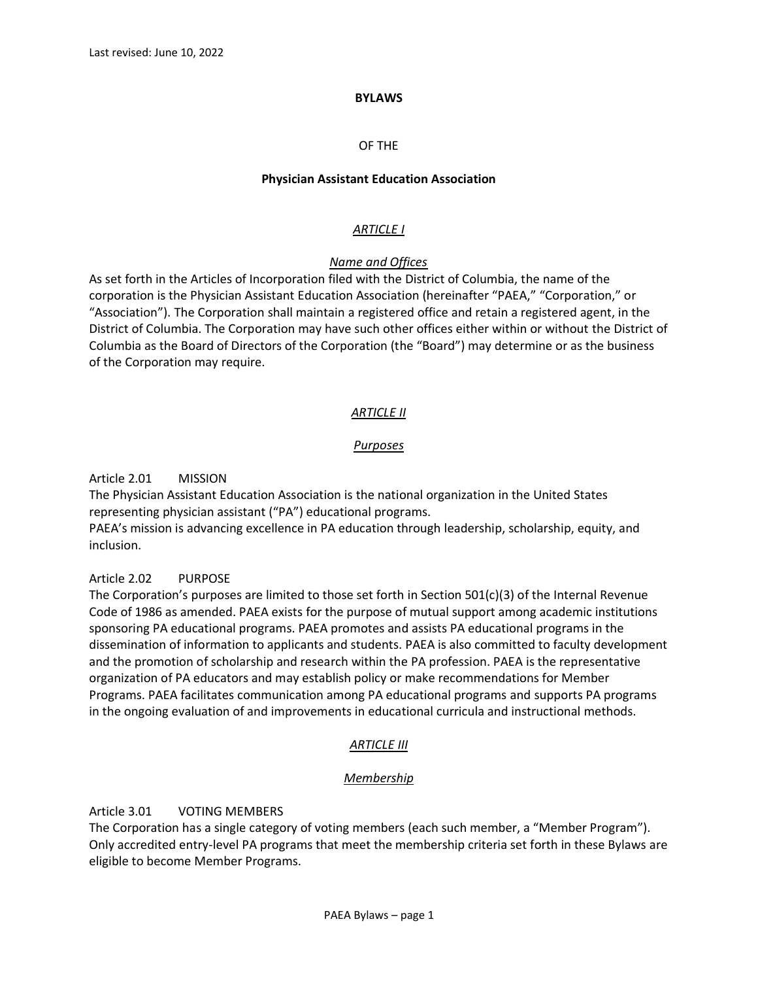#### **BYLAWS**

#### OF THE

#### **Physician Assistant Education Association**

### *ARTICLE I*

### *Name and Offices*

As set forth in the Articles of Incorporation filed with the District of Columbia, the name of the corporation is the Physician Assistant Education Association (hereinafter "PAEA," "Corporation," or "Association"). The Corporation shall maintain a registered office and retain a registered agent, in the District of Columbia. The Corporation may have such other offices either within or without the District of Columbia as the Board of Directors of the Corporation (the "Board") may determine or as the business of the Corporation may require.

### *ARTICLE II*

### *Purposes*

Article 2.01 MISSION

The Physician Assistant Education Association is the national organization in the United States representing physician assistant ("PA") educational programs.

PAEA's mission is advancing excellence in PA education through leadership, scholarship, equity, and inclusion.

#### Article 2.02 PURPOSE

The Corporation's purposes are limited to those set forth in Section  $501(c)(3)$  of the Internal Revenue Code of 1986 as amended. PAEA exists for the purpose of mutual support among academic institutions sponsoring PA educational programs. PAEA promotes and assists PA educational programs in the dissemination of information to applicants and students. PAEA is also committed to faculty development and the promotion of scholarship and research within the PA profession. PAEA is the representative organization of PA educators and may establish policy or make recommendations for Member Programs. PAEA facilitates communication among PA educational programs and supports PA programs in the ongoing evaluation of and improvements in educational curricula and instructional methods.

### *ARTICLE III*

### *Membership*

### Article 3.01 VOTING MEMBERS

The Corporation has a single category of voting members (each such member, a "Member Program"). Only accredited entry-level PA programs that meet the membership criteria set forth in these Bylaws are eligible to become Member Programs.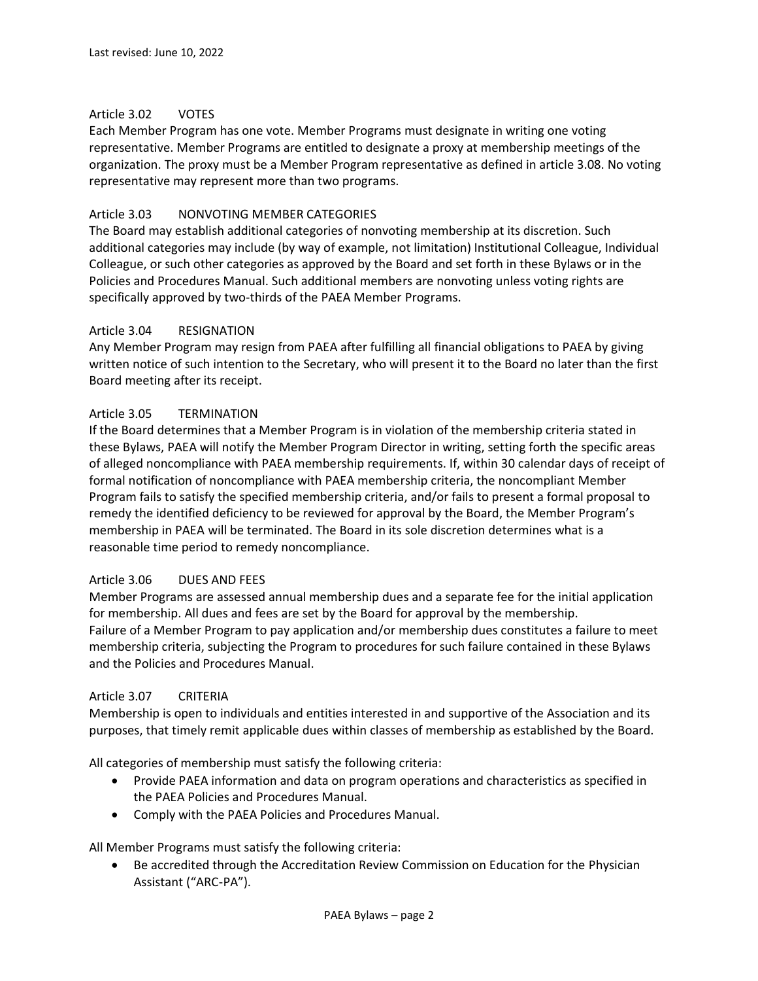### Article 3.02 VOTES

Each Member Program has one vote. Member Programs must designate in writing one voting representative. Member Programs are entitled to designate a proxy at membership meetings of the organization. The proxy must be a Member Program representative as defined in article 3.08. No voting representative may represent more than two programs.

# Article 3.03 NONVOTING MEMBER CATEGORIES

The Board may establish additional categories of nonvoting membership at its discretion. Such additional categories may include (by way of example, not limitation) Institutional Colleague, Individual Colleague, or such other categories as approved by the Board and set forth in these Bylaws or in the Policies and Procedures Manual. Such additional members are nonvoting unless voting rights are specifically approved by two-thirds of the PAEA Member Programs.

### Article 3.04 RESIGNATION

Any Member Program may resign from PAEA after fulfilling all financial obligations to PAEA by giving written notice of such intention to the Secretary, who will present it to the Board no later than the first Board meeting after its receipt.

### Article 3.05 TERMINATION

If the Board determines that a Member Program is in violation of the membership criteria stated in these Bylaws, PAEA will notify the Member Program Director in writing, setting forth the specific areas of alleged noncompliance with PAEA membership requirements. If, within 30 calendar days of receipt of formal notification of noncompliance with PAEA membership criteria, the noncompliant Member Program fails to satisfy the specified membership criteria, and/or fails to present a formal proposal to remedy the identified deficiency to be reviewed for approval by the Board, the Member Program's membership in PAEA will be terminated. The Board in its sole discretion determines what is a reasonable time period to remedy noncompliance.

### Article 3.06 DUES AND FEES

Member Programs are assessed annual membership dues and a separate fee for the initial application for membership. All dues and fees are set by the Board for approval by the membership. Failure of a Member Program to pay application and/or membership dues constitutes a failure to meet membership criteria, subjecting the Program to procedures for such failure contained in these Bylaws and the Policies and Procedures Manual.

### Article 3.07 CRITERIA

Membership is open to individuals and entities interested in and supportive of the Association and its purposes, that timely remit applicable dues within classes of membership as established by the Board.

All categories of membership must satisfy the following criteria:

- Provide PAEA information and data on program operations and characteristics as specified in the PAEA Policies and Procedures Manual.
- Comply with the PAEA Policies and Procedures Manual.

All Member Programs must satisfy the following criteria:

• Be accredited through the Accreditation Review Commission on Education for the Physician Assistant ("ARC-PA").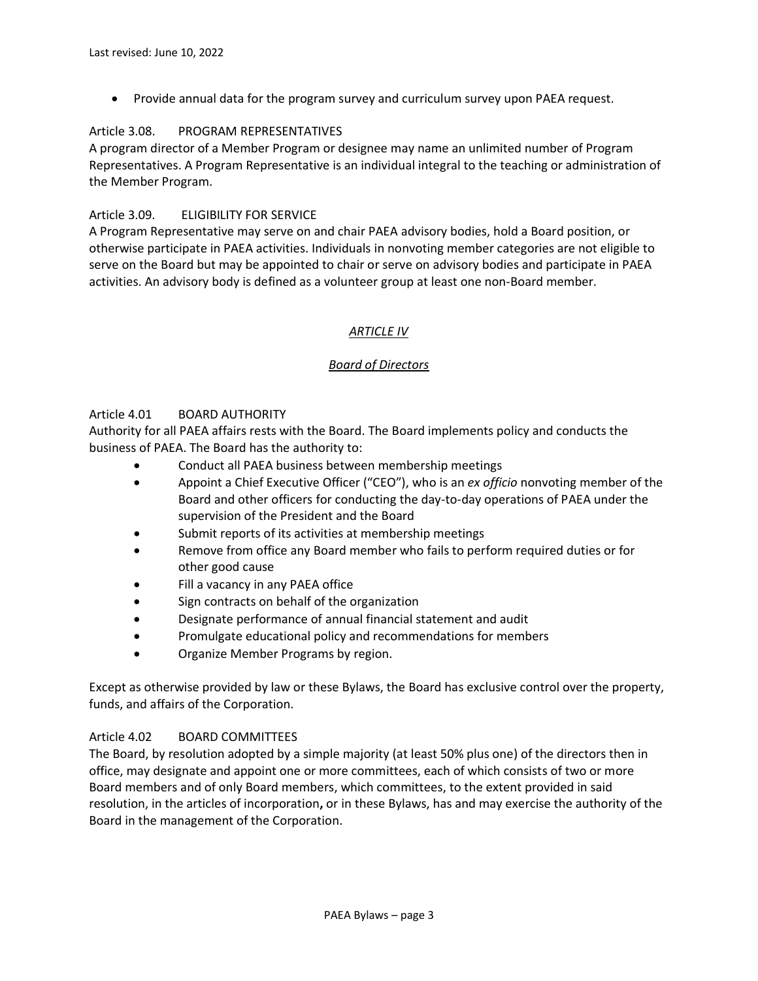• Provide annual data for the program survey and curriculum survey upon PAEA request.

### Article 3.08. PROGRAM REPRESENTATIVES

A program director of a Member Program or designee may name an unlimited number of Program Representatives. A Program Representative is an individual integral to the teaching or administration of the Member Program.

# Article 3.09. ELIGIBILITY FOR SERVICE

A Program Representative may serve on and chair PAEA advisory bodies, hold a Board position, or otherwise participate in PAEA activities. Individuals in nonvoting member categories are not eligible to serve on the Board but may be appointed to chair or serve on advisory bodies and participate in PAEA activities. An advisory body is defined as a volunteer group at least one non-Board member.

# *ARTICLE IV*

# *Board of Directors*

### Article 4.01 BOARD AUTHORITY

Authority for all PAEA affairs rests with the Board. The Board implements policy and conducts the business of PAEA. The Board has the authority to:

- Conduct all PAEA business between membership meetings
- Appoint a Chief Executive Officer ("CEO"), who is an *ex officio* nonvoting member of the Board and other officers for conducting the day-to-day operations of PAEA under the supervision of the President and the Board
- Submit reports of its activities at membership meetings
- Remove from office any Board member who fails to perform required duties or for other good cause
- Fill a vacancy in any PAEA office
- Sign contracts on behalf of the organization
- Designate performance of annual financial statement and audit
- Promulgate educational policy and recommendations for members
- Organize Member Programs by region.

Except as otherwise provided by law or these Bylaws, the Board has exclusive control over the property, funds, and affairs of the Corporation.

### Article 4.02 BOARD COMMITTEES

The Board, by resolution adopted by a simple majority (at least 50% plus one) of the directors then in office, may designate and appoint one or more committees, each of which consists of two or more Board members and of only Board members, which committees, to the extent provided in said resolution, in the articles of incorporation**,** or in these Bylaws, has and may exercise the authority of the Board in the management of the Corporation.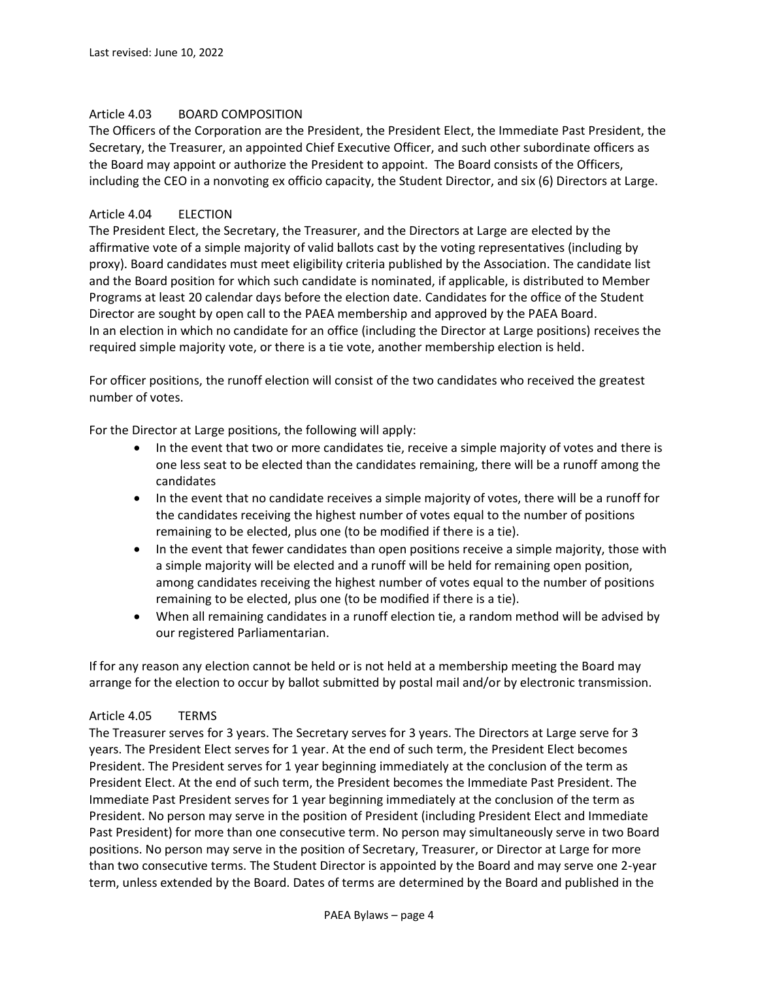#### Article 4.03 BOARD COMPOSITION

The Officers of the Corporation are the President, the President Elect, the Immediate Past President, the Secretary, the Treasurer, an appointed Chief Executive Officer, and such other subordinate officers as the Board may appoint or authorize the President to appoint. The Board consists of the Officers, including the CEO in a nonvoting ex officio capacity, the Student Director, and six (6) Directors at Large.

### Article 4.04 ELECTION

The President Elect, the Secretary, the Treasurer, and the Directors at Large are elected by the affirmative vote of a simple majority of valid ballots cast by the voting representatives (including by proxy). Board candidates must meet eligibility criteria published by the Association. The candidate list and the Board position for which such candidate is nominated, if applicable, is distributed to Member Programs at least 20 calendar days before the election date. Candidates for the office of the Student Director are sought by open call to the PAEA membership and approved by the PAEA Board. In an election in which no candidate for an office (including the Director at Large positions) receives the required simple majority vote, or there is a tie vote, another membership election is held.

For officer positions, the runoff election will consist of the two candidates who received the greatest number of votes.

For the Director at Large positions, the following will apply:

- In the event that two or more candidates tie, receive a simple majority of votes and there is one less seat to be elected than the candidates remaining, there will be a runoff among the candidates
- In the event that no candidate receives a simple majority of votes, there will be a runoff for the candidates receiving the highest number of votes equal to the number of positions remaining to be elected, plus one (to be modified if there is a tie).
- In the event that fewer candidates than open positions receive a simple majority, those with a simple majority will be elected and a runoff will be held for remaining open position, among candidates receiving the highest number of votes equal to the number of positions remaining to be elected, plus one (to be modified if there is a tie).
- When all remaining candidates in a runoff election tie, a random method will be advised by our registered Parliamentarian.

If for any reason any election cannot be held or is not held at a membership meeting the Board may arrange for the election to occur by ballot submitted by postal mail and/or by electronic transmission.

#### Article 4.05 TERMS

The Treasurer serves for 3 years. The Secretary serves for 3 years. The Directors at Large serve for 3 years. The President Elect serves for 1 year. At the end of such term, the President Elect becomes President. The President serves for 1 year beginning immediately at the conclusion of the term as President Elect. At the end of such term, the President becomes the Immediate Past President. The Immediate Past President serves for 1 year beginning immediately at the conclusion of the term as President. No person may serve in the position of President (including President Elect and Immediate Past President) for more than one consecutive term. No person may simultaneously serve in two Board positions. No person may serve in the position of Secretary, Treasurer, or Director at Large for more than two consecutive terms. The Student Director is appointed by the Board and may serve one 2-year term, unless extended by the Board. Dates of terms are determined by the Board and published in the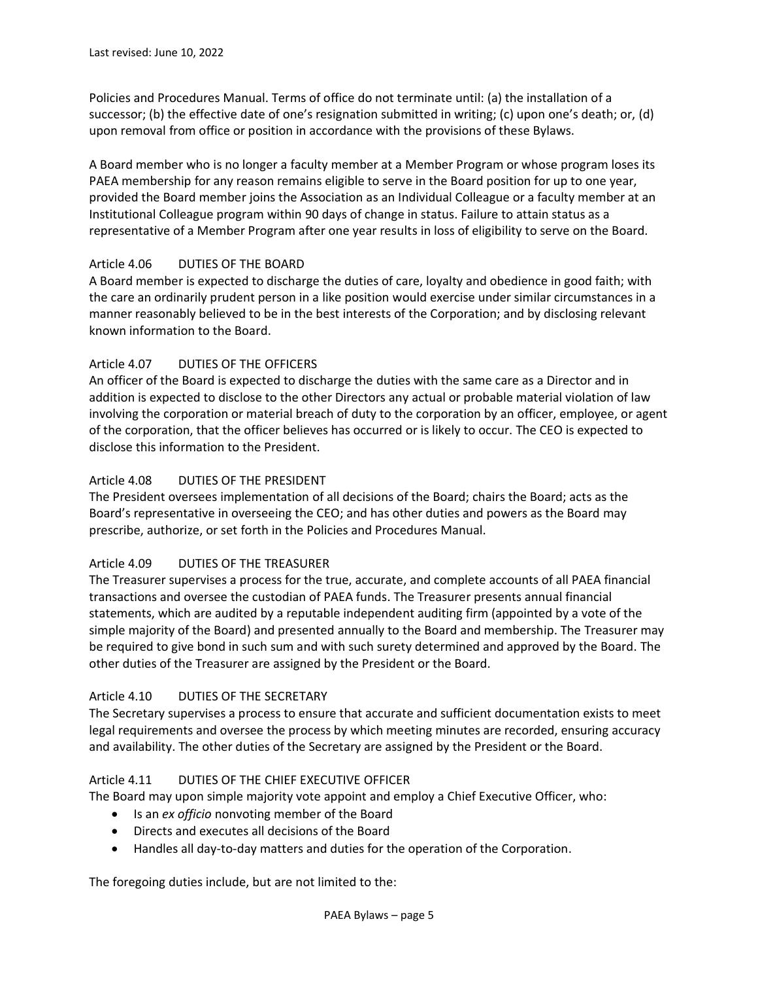Policies and Procedures Manual. Terms of office do not terminate until: (a) the installation of a successor; (b) the effective date of one's resignation submitted in writing; (c) upon one's death; or, (d) upon removal from office or position in accordance with the provisions of these Bylaws.

A Board member who is no longer a faculty member at a Member Program or whose program loses its PAEA membership for any reason remains eligible to serve in the Board position for up to one year, provided the Board member joins the Association as an Individual Colleague or a faculty member at an Institutional Colleague program within 90 days of change in status. Failure to attain status as a representative of a Member Program after one year results in loss of eligibility to serve on the Board.

# Article 4.06 DUTIES OF THE BOARD

A Board member is expected to discharge the duties of care, loyalty and obedience in good faith; with the care an ordinarily prudent person in a like position would exercise under similar circumstances in a manner reasonably believed to be in the best interests of the Corporation; and by disclosing relevant known information to the Board.

# Article 4.07 DUTIES OF THE OFFICERS

An officer of the Board is expected to discharge the duties with the same care as a Director and in addition is expected to disclose to the other Directors any actual or probable material violation of law involving the corporation or material breach of duty to the corporation by an officer, employee, or agent of the corporation, that the officer believes has occurred or is likely to occur. The CEO is expected to disclose this information to the President.

# Article 4.08 DUTIES OF THE PRESIDENT

The President oversees implementation of all decisions of the Board; chairs the Board; acts as the Board's representative in overseeing the CEO; and has other duties and powers as the Board may prescribe, authorize, or set forth in the Policies and Procedures Manual.

### Article 4.09 DUTIES OF THE TREASURER

The Treasurer supervises a process for the true, accurate, and complete accounts of all PAEA financial transactions and oversee the custodian of PAEA funds. The Treasurer presents annual financial statements, which are audited by a reputable independent auditing firm (appointed by a vote of the simple majority of the Board) and presented annually to the Board and membership. The Treasurer may be required to give bond in such sum and with such surety determined and approved by the Board. The other duties of the Treasurer are assigned by the President or the Board.

### Article 4.10 DUTIES OF THE SECRETARY

The Secretary supervises a process to ensure that accurate and sufficient documentation exists to meet legal requirements and oversee the process by which meeting minutes are recorded, ensuring accuracy and availability. The other duties of the Secretary are assigned by the President or the Board.

# Article 4.11 DUTIES OF THE CHIEF EXECUTIVE OFFICER

The Board may upon simple majority vote appoint and employ a Chief Executive Officer, who:

- Is an *ex officio* nonvoting member of the Board
- Directs and executes all decisions of the Board
- Handles all day-to-day matters and duties for the operation of the Corporation.

The foregoing duties include, but are not limited to the: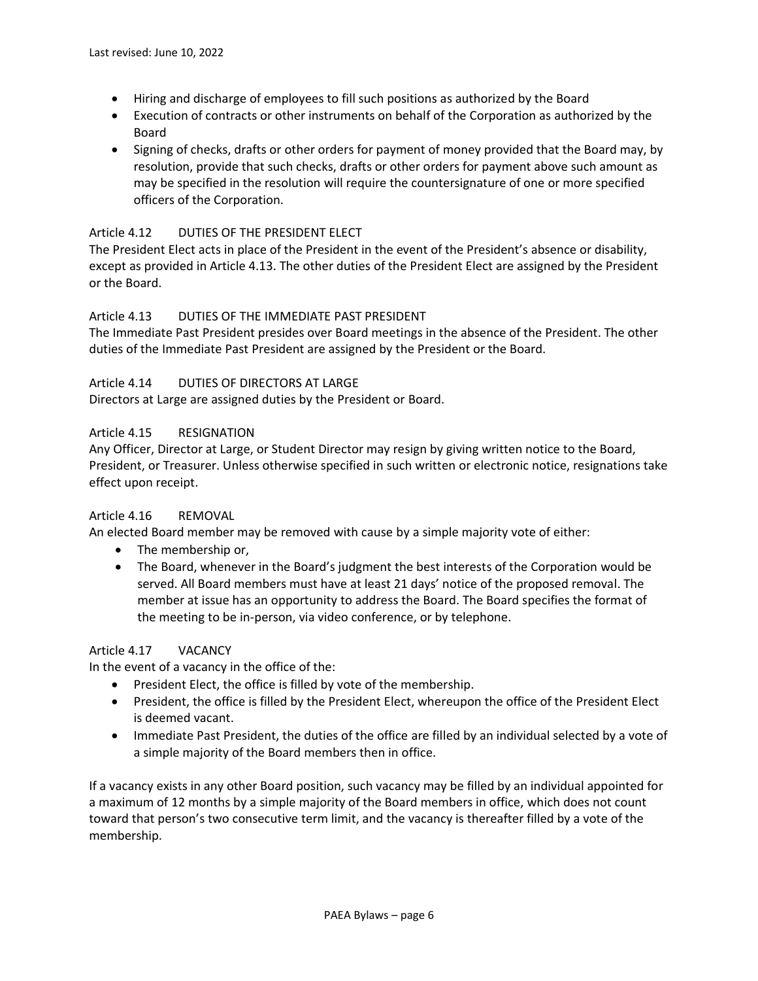- Hiring and discharge of employees to fill such positions as authorized by the Board
- Execution of contracts or other instruments on behalf of the Corporation as authorized by the Board
- Signing of checks, drafts or other orders for payment of money provided that the Board may, by resolution, provide that such checks, drafts or other orders for payment above such amount as may be specified in the resolution will require the countersignature of one or more specified officers of the Corporation.

# Article 4.12 DUTIES OF THE PRESIDENT ELECT

The President Elect acts in place of the President in the event of the President's absence or disability, except as provided in Article 4.13. The other duties of the President Elect are assigned by the President or the Board.

### Article 4.13 DUTIES OF THE IMMEDIATE PAST PRESIDENT

The Immediate Past President presides over Board meetings in the absence of the President. The other duties of the Immediate Past President are assigned by the President or the Board.

### Article 4.14 DUTIES OF DIRECTORS AT LARGE

Directors at Large are assigned duties by the President or Board.

### Article 4.15 RESIGNATION

Any Officer, Director at Large, or Student Director may resign by giving written notice to the Board, President, or Treasurer. Unless otherwise specified in such written or electronic notice, resignations take effect upon receipt.

### Article 4.16 REMOVAL

An elected Board member may be removed with cause by a simple majority vote of either:

- The membership or,
- The Board, whenever in the Board's judgment the best interests of the Corporation would be served. All Board members must have at least 21 days' notice of the proposed removal. The member at issue has an opportunity to address the Board. The Board specifies the format of the meeting to be in-person, via video conference, or by telephone.

### Article 4.17 VACANCY

In the event of a vacancy in the office of the:

- President Elect, the office is filled by vote of the membership.
- President, the office is filled by the President Elect, whereupon the office of the President Elect is deemed vacant.
- Immediate Past President, the duties of the office are filled by an individual selected by a vote of a simple majority of the Board members then in office.

If a vacancy exists in any other Board position, such vacancy may be filled by an individual appointed for a maximum of 12 months by a simple majority of the Board members in office, which does not count toward that person's two consecutive term limit, and the vacancy is thereafter filled by a vote of the membership.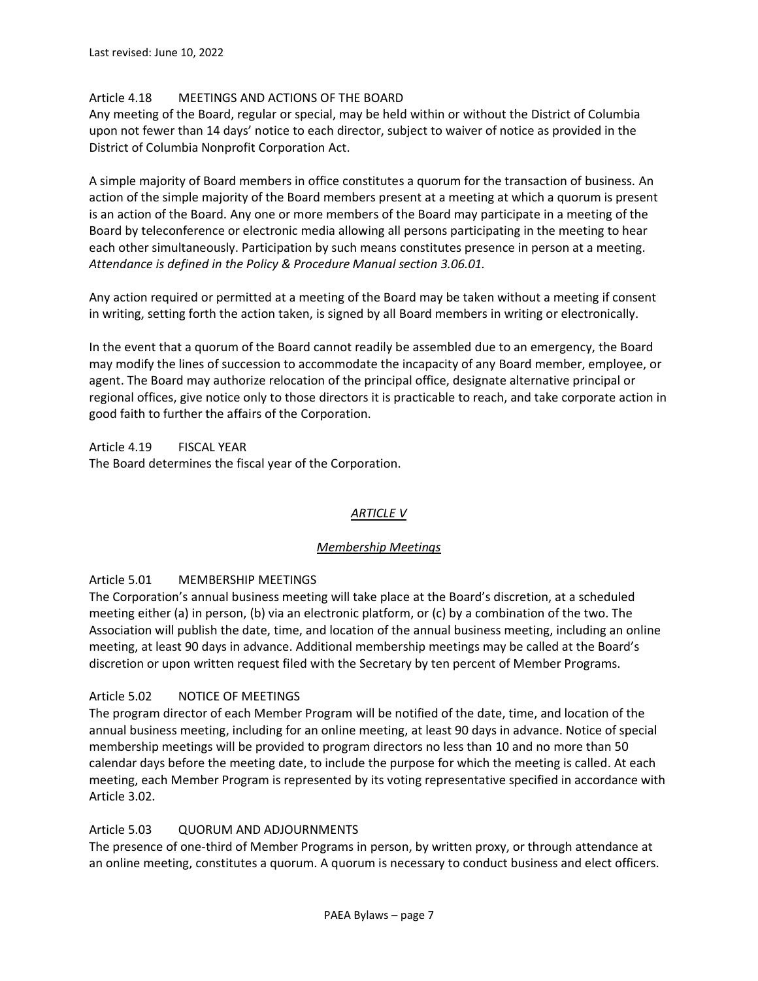# Article 4.18 MEETINGS AND ACTIONS OF THE BOARD

Any meeting of the Board, regular or special, may be held within or without the District of Columbia upon not fewer than 14 days' notice to each director, subject to waiver of notice as provided in the District of Columbia Nonprofit Corporation Act.

A simple majority of Board members in office constitutes a quorum for the transaction of business. An action of the simple majority of the Board members present at a meeting at which a quorum is present is an action of the Board. Any one or more members of the Board may participate in a meeting of the Board by teleconference or electronic media allowing all persons participating in the meeting to hear each other simultaneously. Participation by such means constitutes presence in person at a meeting. *Attendance is defined in the Policy & Procedure Manual section 3.06.01.*

Any action required or permitted at a meeting of the Board may be taken without a meeting if consent in writing, setting forth the action taken, is signed by all Board members in writing or electronically.

In the event that a quorum of the Board cannot readily be assembled due to an emergency, the Board may modify the lines of succession to accommodate the incapacity of any Board member, employee, or agent. The Board may authorize relocation of the principal office, designate alternative principal or regional offices, give notice only to those directors it is practicable to reach, and take corporate action in good faith to further the affairs of the Corporation.

Article 4.19 FISCAL YEAR The Board determines the fiscal year of the Corporation.

# *ARTICLE V*

### *Membership Meetings*

### Article 5.01 MEMBERSHIP MEETINGS

The Corporation's annual business meeting will take place at the Board's discretion, at a scheduled meeting either (a) in person, (b) via an electronic platform, or (c) by a combination of the two. The Association will publish the date, time, and location of the annual business meeting, including an online meeting, at least 90 days in advance. Additional membership meetings may be called at the Board's discretion or upon written request filed with the Secretary by ten percent of Member Programs.

### Article 5.02 NOTICE OF MEETINGS

The program director of each Member Program will be notified of the date, time, and location of the annual business meeting, including for an online meeting, at least 90 days in advance. Notice of special membership meetings will be provided to program directors no less than 10 and no more than 50 calendar days before the meeting date, to include the purpose for which the meeting is called. At each meeting, each Member Program is represented by its voting representative specified in accordance with Article 3.02.

### Article 5.03 QUORUM AND ADJOURNMENTS

The presence of one-third of Member Programs in person, by written proxy, or through attendance at an online meeting, constitutes a quorum. A quorum is necessary to conduct business and elect officers.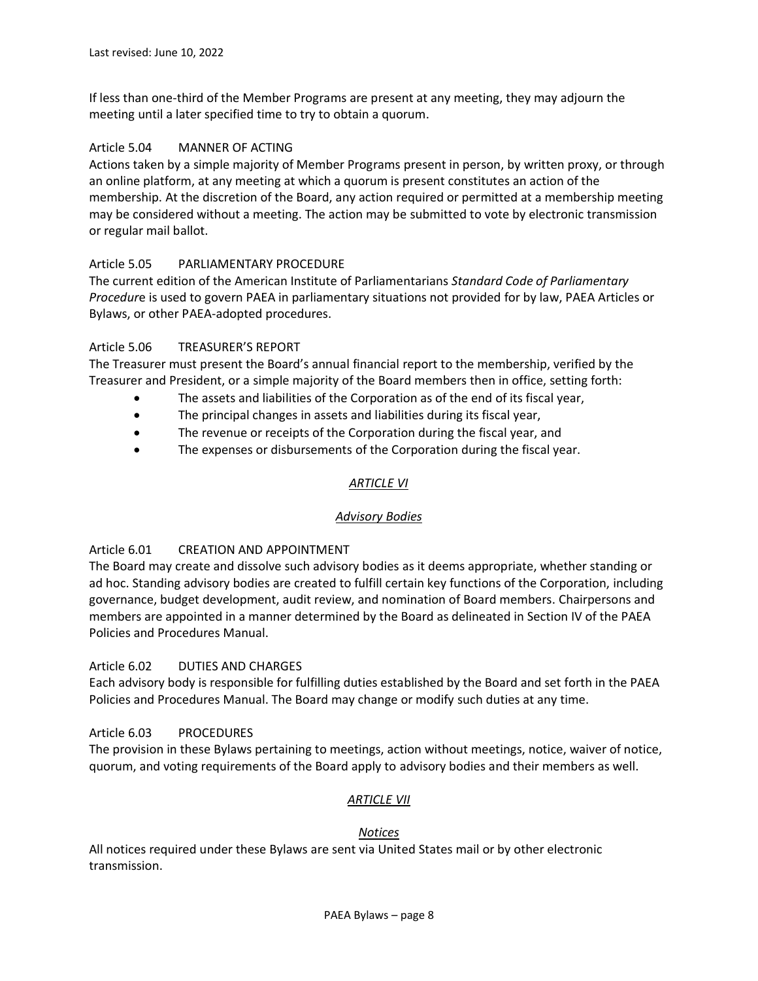If less than one-third of the Member Programs are present at any meeting, they may adjourn the meeting until a later specified time to try to obtain a quorum.

### Article 5.04 MANNER OF ACTING

Actions taken by a simple majority of Member Programs present in person, by written proxy, or through an online platform, at any meeting at which a quorum is present constitutes an action of the membership. At the discretion of the Board, any action required or permitted at a membership meeting may be considered without a meeting. The action may be submitted to vote by electronic transmission or regular mail ballot.

# Article 5.05 PARLIAMENTARY PROCEDURE

The current edition of the American Institute of Parliamentarians *Standard Code of Parliamentary Procedur*e is used to govern PAEA in parliamentary situations not provided for by law, PAEA Articles or Bylaws, or other PAEA-adopted procedures.

# Article 5.06 TREASURER'S REPORT

The Treasurer must present the Board's annual financial report to the membership, verified by the Treasurer and President, or a simple majority of the Board members then in office, setting forth:

- The assets and liabilities of the Corporation as of the end of its fiscal year,
- The principal changes in assets and liabilities during its fiscal year,
- The revenue or receipts of the Corporation during the fiscal year, and
- The expenses or disbursements of the Corporation during the fiscal year.

# *ARTICLE VI*

### *Advisory Bodies*

### Article 6.01 CREATION AND APPOINTMENT

The Board may create and dissolve such advisory bodies as it deems appropriate, whether standing or ad hoc. Standing advisory bodies are created to fulfill certain key functions of the Corporation, including governance, budget development, audit review, and nomination of Board members. Chairpersons and members are appointed in a manner determined by the Board as delineated in Section IV of the PAEA Policies and Procedures Manual.

### Article 6.02 DUTIES AND CHARGES

Each advisory body is responsible for fulfilling duties established by the Board and set forth in the PAEA Policies and Procedures Manual. The Board may change or modify such duties at any time.

### Article 6.03 PROCEDURES

The provision in these Bylaws pertaining to meetings, action without meetings, notice, waiver of notice, quorum, and voting requirements of the Board apply to advisory bodies and their members as well.

### *ARTICLE VII*

#### *Notices*

All notices required under these Bylaws are sent via United States mail or by other electronic transmission.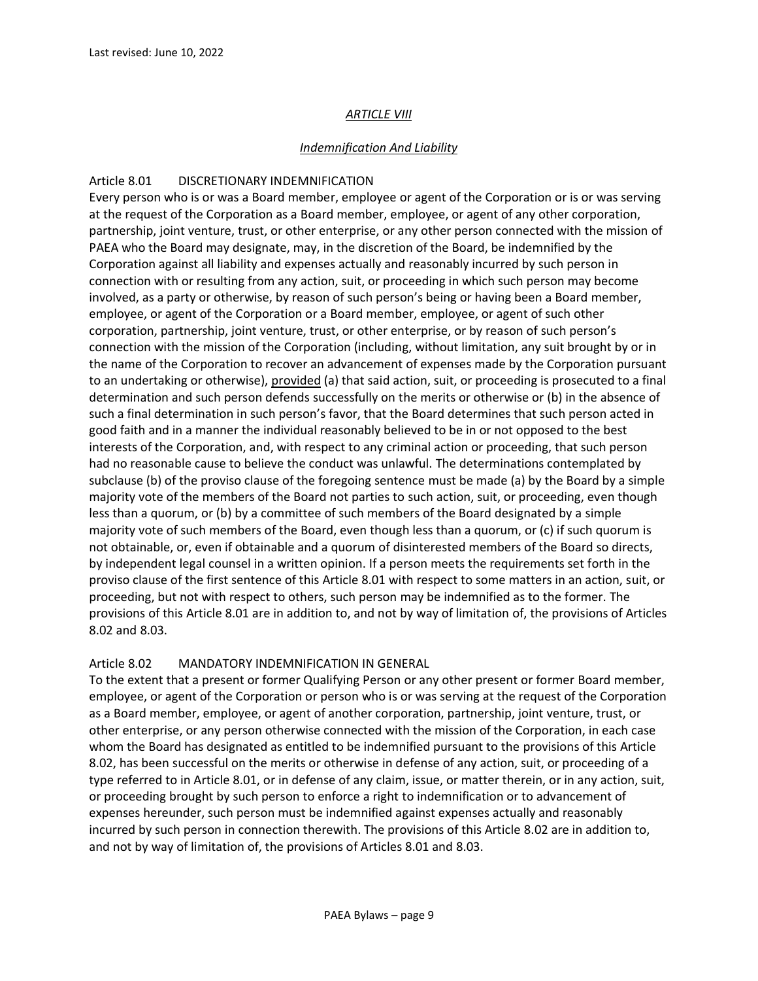# *ARTICLE VIII*

### *Indemnification And Liability*

### Article 8.01 DISCRETIONARY INDEMNIFICATION

Every person who is or was a Board member, employee or agent of the Corporation or is or was serving at the request of the Corporation as a Board member, employee, or agent of any other corporation, partnership, joint venture, trust, or other enterprise, or any other person connected with the mission of PAEA who the Board may designate, may, in the discretion of the Board, be indemnified by the Corporation against all liability and expenses actually and reasonably incurred by such person in connection with or resulting from any action, suit, or proceeding in which such person may become involved, as a party or otherwise, by reason of such person's being or having been a Board member, employee, or agent of the Corporation or a Board member, employee, or agent of such other corporation, partnership, joint venture, trust, or other enterprise, or by reason of such person's connection with the mission of the Corporation (including, without limitation, any suit brought by or in the name of the Corporation to recover an advancement of expenses made by the Corporation pursuant to an undertaking or otherwise), provided (a) that said action, suit, or proceeding is prosecuted to a final determination and such person defends successfully on the merits or otherwise or (b) in the absence of such a final determination in such person's favor, that the Board determines that such person acted in good faith and in a manner the individual reasonably believed to be in or not opposed to the best interests of the Corporation, and, with respect to any criminal action or proceeding, that such person had no reasonable cause to believe the conduct was unlawful. The determinations contemplated by subclause (b) of the proviso clause of the foregoing sentence must be made (a) by the Board by a simple majority vote of the members of the Board not parties to such action, suit, or proceeding, even though less than a quorum, or (b) by a committee of such members of the Board designated by a simple majority vote of such members of the Board, even though less than a quorum, or (c) if such quorum is not obtainable, or, even if obtainable and a quorum of disinterested members of the Board so directs, by independent legal counsel in a written opinion. If a person meets the requirements set forth in the proviso clause of the first sentence of this Article 8.01 with respect to some matters in an action, suit, or proceeding, but not with respect to others, such person may be indemnified as to the former. The provisions of this Article 8.01 are in addition to, and not by way of limitation of, the provisions of Articles 8.02 and 8.03.

### Article 8.02 MANDATORY INDEMNIFICATION IN GENERAL

To the extent that a present or former Qualifying Person or any other present or former Board member, employee, or agent of the Corporation or person who is or was serving at the request of the Corporation as a Board member, employee, or agent of another corporation, partnership, joint venture, trust, or other enterprise, or any person otherwise connected with the mission of the Corporation, in each case whom the Board has designated as entitled to be indemnified pursuant to the provisions of this Article 8.02, has been successful on the merits or otherwise in defense of any action, suit, or proceeding of a type referred to in Article 8.01, or in defense of any claim, issue, or matter therein, or in any action, suit, or proceeding brought by such person to enforce a right to indemnification or to advancement of expenses hereunder, such person must be indemnified against expenses actually and reasonably incurred by such person in connection therewith. The provisions of this Article 8.02 are in addition to, and not by way of limitation of, the provisions of Articles 8.01 and 8.03.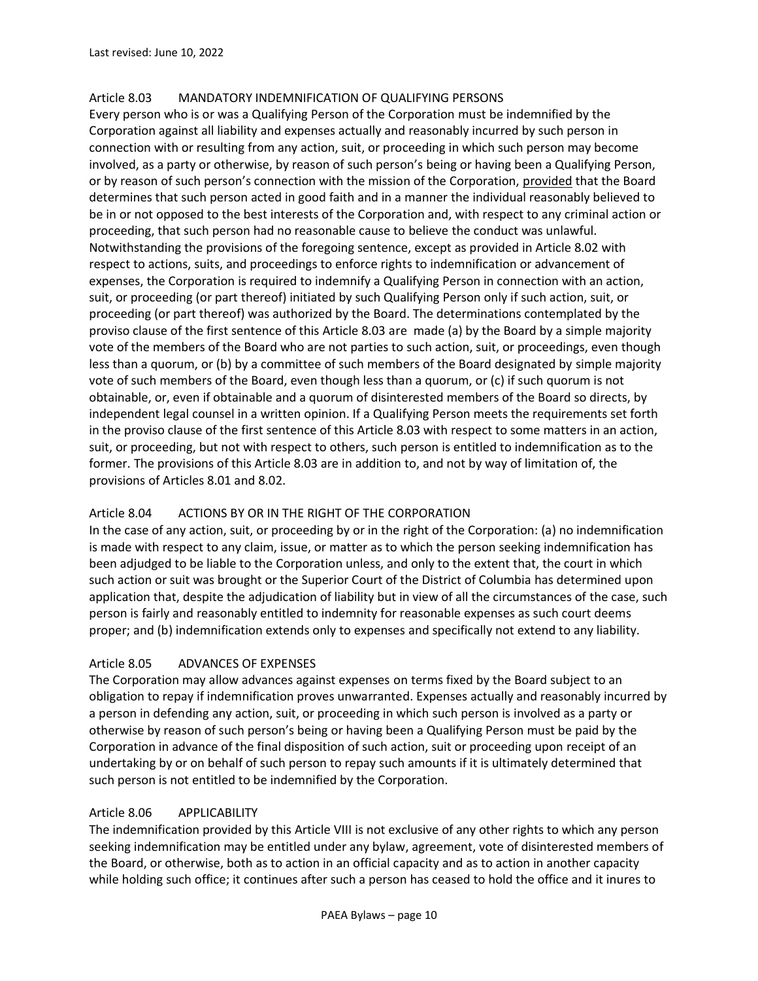### Article 8.03 MANDATORY INDEMNIFICATION OF QUALIFYING PERSONS

Every person who is or was a Qualifying Person of the Corporation must be indemnified by the Corporation against all liability and expenses actually and reasonably incurred by such person in connection with or resulting from any action, suit, or proceeding in which such person may become involved, as a party or otherwise, by reason of such person's being or having been a Qualifying Person, or by reason of such person's connection with the mission of the Corporation, provided that the Board determines that such person acted in good faith and in a manner the individual reasonably believed to be in or not opposed to the best interests of the Corporation and, with respect to any criminal action or proceeding, that such person had no reasonable cause to believe the conduct was unlawful. Notwithstanding the provisions of the foregoing sentence, except as provided in Article 8.02 with respect to actions, suits, and proceedings to enforce rights to indemnification or advancement of expenses, the Corporation is required to indemnify a Qualifying Person in connection with an action, suit, or proceeding (or part thereof) initiated by such Qualifying Person only if such action, suit, or proceeding (or part thereof) was authorized by the Board. The determinations contemplated by the proviso clause of the first sentence of this Article 8.03 are made (a) by the Board by a simple majority vote of the members of the Board who are not parties to such action, suit, or proceedings, even though less than a quorum, or (b) by a committee of such members of the Board designated by simple majority vote of such members of the Board, even though less than a quorum, or (c) if such quorum is not obtainable, or, even if obtainable and a quorum of disinterested members of the Board so directs, by independent legal counsel in a written opinion. If a Qualifying Person meets the requirements set forth in the proviso clause of the first sentence of this Article 8.03 with respect to some matters in an action, suit, or proceeding, but not with respect to others, such person is entitled to indemnification as to the former. The provisions of this Article 8.03 are in addition to, and not by way of limitation of, the provisions of Articles 8.01 and 8.02.

### Article 8.04 ACTIONS BY OR IN THE RIGHT OF THE CORPORATION

In the case of any action, suit, or proceeding by or in the right of the Corporation: (a) no indemnification is made with respect to any claim, issue, or matter as to which the person seeking indemnification has been adjudged to be liable to the Corporation unless, and only to the extent that, the court in which such action or suit was brought or the Superior Court of the District of Columbia has determined upon application that, despite the adjudication of liability but in view of all the circumstances of the case, such person is fairly and reasonably entitled to indemnity for reasonable expenses as such court deems proper; and (b) indemnification extends only to expenses and specifically not extend to any liability.

### Article 8.05 ADVANCES OF EXPENSES

The Corporation may allow advances against expenses on terms fixed by the Board subject to an obligation to repay if indemnification proves unwarranted. Expenses actually and reasonably incurred by a person in defending any action, suit, or proceeding in which such person is involved as a party or otherwise by reason of such person's being or having been a Qualifying Person must be paid by the Corporation in advance of the final disposition of such action, suit or proceeding upon receipt of an undertaking by or on behalf of such person to repay such amounts if it is ultimately determined that such person is not entitled to be indemnified by the Corporation.

#### Article 8.06 APPLICABILITY

The indemnification provided by this Article VIII is not exclusive of any other rights to which any person seeking indemnification may be entitled under any bylaw, agreement, vote of disinterested members of the Board, or otherwise, both as to action in an official capacity and as to action in another capacity while holding such office; it continues after such a person has ceased to hold the office and it inures to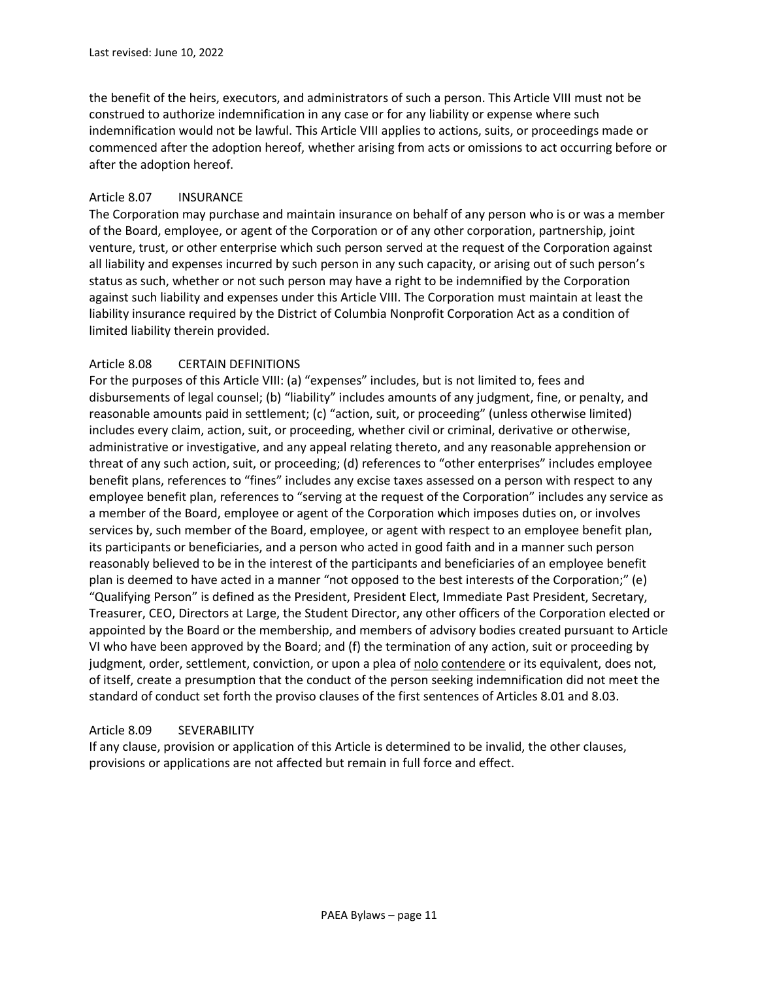the benefit of the heirs, executors, and administrators of such a person. This Article VIII must not be construed to authorize indemnification in any case or for any liability or expense where such indemnification would not be lawful. This Article VIII applies to actions, suits, or proceedings made or commenced after the adoption hereof, whether arising from acts or omissions to act occurring before or after the adoption hereof.

### Article 8.07 INSURANCE

The Corporation may purchase and maintain insurance on behalf of any person who is or was a member of the Board, employee, or agent of the Corporation or of any other corporation, partnership, joint venture, trust, or other enterprise which such person served at the request of the Corporation against all liability and expenses incurred by such person in any such capacity, or arising out of such person's status as such, whether or not such person may have a right to be indemnified by the Corporation against such liability and expenses under this Article VIII. The Corporation must maintain at least the liability insurance required by the District of Columbia Nonprofit Corporation Act as a condition of limited liability therein provided.

### Article 8.08 CERTAIN DEFINITIONS

For the purposes of this Article VIII: (a) "expenses" includes, but is not limited to, fees and disbursements of legal counsel; (b) "liability" includes amounts of any judgment, fine, or penalty, and reasonable amounts paid in settlement; (c) "action, suit, or proceeding" (unless otherwise limited) includes every claim, action, suit, or proceeding, whether civil or criminal, derivative or otherwise, administrative or investigative, and any appeal relating thereto, and any reasonable apprehension or threat of any such action, suit, or proceeding; (d) references to "other enterprises" includes employee benefit plans, references to "fines" includes any excise taxes assessed on a person with respect to any employee benefit plan, references to "serving at the request of the Corporation" includes any service as a member of the Board, employee or agent of the Corporation which imposes duties on, or involves services by, such member of the Board, employee, or agent with respect to an employee benefit plan, its participants or beneficiaries, and a person who acted in good faith and in a manner such person reasonably believed to be in the interest of the participants and beneficiaries of an employee benefit plan is deemed to have acted in a manner "not opposed to the best interests of the Corporation;" (e) "Qualifying Person" is defined as the President, President Elect, Immediate Past President, Secretary, Treasurer, CEO, Directors at Large, the Student Director, any other officers of the Corporation elected or appointed by the Board or the membership, and members of advisory bodies created pursuant to Article VI who have been approved by the Board; and (f) the termination of any action, suit or proceeding by judgment, order, settlement, conviction, or upon a plea of nolo contendere or its equivalent, does not, of itself, create a presumption that the conduct of the person seeking indemnification did not meet the standard of conduct set forth the proviso clauses of the first sentences of Articles 8.01 and 8.03.

#### Article 8.09 SEVERABILITY

If any clause, provision or application of this Article is determined to be invalid, the other clauses, provisions or applications are not affected but remain in full force and effect.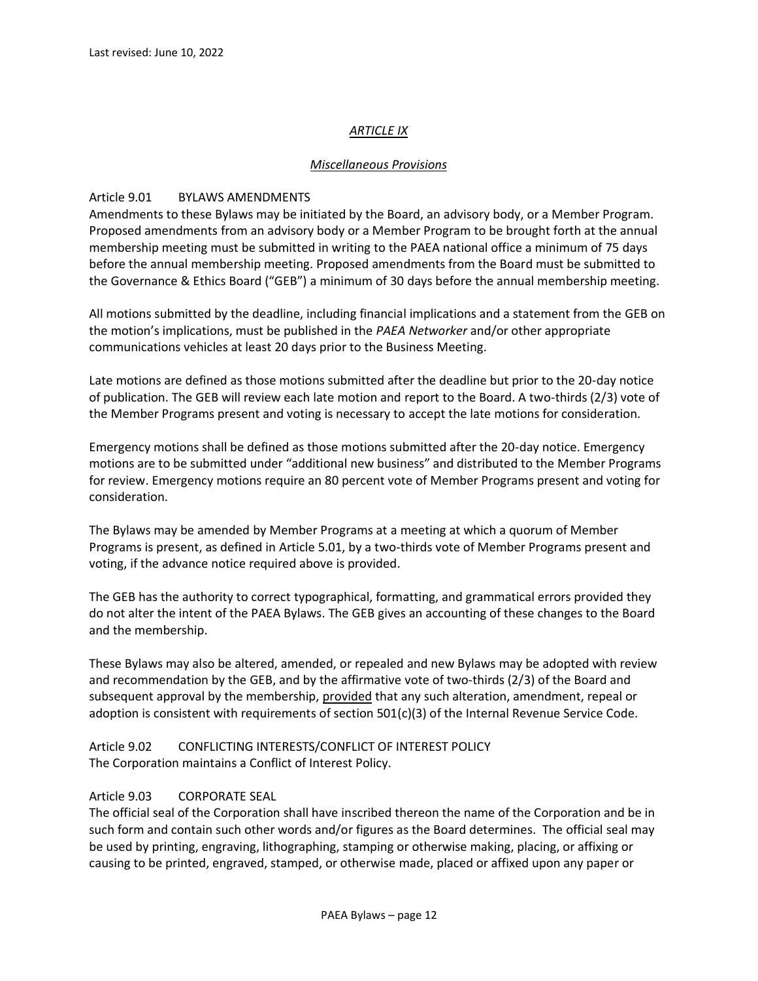# *ARTICLE IX*

### *Miscellaneous Provisions*

### Article 9.01 BYLAWS AMENDMENTS

Amendments to these Bylaws may be initiated by the Board, an advisory body, or a Member Program. Proposed amendments from an advisory body or a Member Program to be brought forth at the annual membership meeting must be submitted in writing to the PAEA national office a minimum of 75 days before the annual membership meeting. Proposed amendments from the Board must be submitted to the Governance & Ethics Board ("GEB") a minimum of 30 days before the annual membership meeting.

All motions submitted by the deadline, including financial implications and a statement from the GEB on the motion's implications, must be published in the *PAEA Networker* and/or other appropriate communications vehicles at least 20 days prior to the Business Meeting.

Late motions are defined as those motions submitted after the deadline but prior to the 20-day notice of publication. The GEB will review each late motion and report to the Board. A two-thirds (2/3) vote of the Member Programs present and voting is necessary to accept the late motions for consideration.

Emergency motions shall be defined as those motions submitted after the 20-day notice. Emergency motions are to be submitted under "additional new business" and distributed to the Member Programs for review. Emergency motions require an 80 percent vote of Member Programs present and voting for consideration.

The Bylaws may be amended by Member Programs at a meeting at which a quorum of Member Programs is present, as defined in Article 5.01, by a two-thirds vote of Member Programs present and voting, if the advance notice required above is provided.

The GEB has the authority to correct typographical, formatting, and grammatical errors provided they do not alter the intent of the PAEA Bylaws. The GEB gives an accounting of these changes to the Board and the membership.

These Bylaws may also be altered, amended, or repealed and new Bylaws may be adopted with review and recommendation by the GEB, and by the affirmative vote of two-thirds (2/3) of the Board and subsequent approval by the membership, provided that any such alteration, amendment, repeal or adoption is consistent with requirements of section  $501(c)(3)$  of the Internal Revenue Service Code.

Article 9.02 CONFLICTING INTERESTS/CONFLICT OF INTEREST POLICY The Corporation maintains a Conflict of Interest Policy.

### Article 9.03 CORPORATE SEAL

The official seal of the Corporation shall have inscribed thereon the name of the Corporation and be in such form and contain such other words and/or figures as the Board determines. The official seal may be used by printing, engraving, lithographing, stamping or otherwise making, placing, or affixing or causing to be printed, engraved, stamped, or otherwise made, placed or affixed upon any paper or